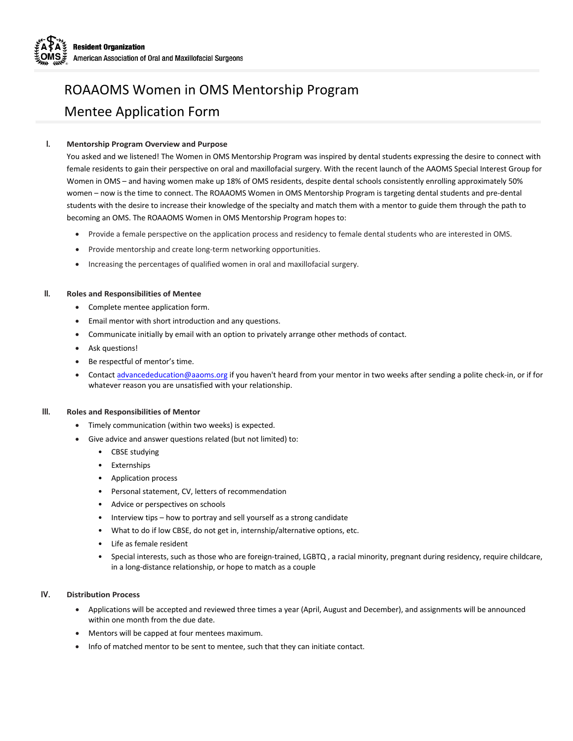## ROAAOMS Women in OMS Mentorship Program Mentee Application Form

### **I. Mentorship Program Overview and Purpose**

You asked and we listened! The Women in OMS Mentorship Program was inspired by dental students expressing the desire to connect with female residents to gain their perspective on oral and maxillofacial surgery. With the recent launch of the AAOMS Special Interest Group for Women in OMS – and having women make up 18% of OMS residents, despite dental schools consistently enrolling approximately 50% women – now is the time to connect. The ROAAOMS Women in OMS Mentorship Program is targeting dental students and pre-dental students with the desire to increase their knowledge of the specialty and match them with a mentor to guide them through the path to becoming an OMS. The ROAAOMS Women in OMS Mentorship Program hopes to:

- Provide a female perspective on the application process and residency to female dental students who are interested in OMS.
- Provide mentorship and create long-term networking opportunities.
- Increasing the percentages of qualified women in oral and maxillofacial surgery.

#### **II. Roles and Responsibilities of Mentee**

- Complete mentee application form.
- Email mentor with short introduction and any questions.
- Communicate initially by email with an option to privately arrange other methods of contact.
- Ask questions!
- Be respectful of mentor's time.
- Contact [advancededucation](mailto:advancededucation@aaoms.org)@aaoms.org if you haven't heard from your mentor in two weeks after sending a polite check-in, or if for whatever reason you are unsatisfied with your relationship.

#### **III. Roles and Responsibilities of Mentor**

- Timely communication (within two weeks) is expected.
- Give advice and answer questions related (but not limited) to:
	- CBSE studying
	- **Externships**
	- Application process
	- Personal statement, CV, letters of recommendation
	- Advice or perspectives on schools
	- Interview tips how to portray and sell yourself as a strong candidate
	- What to do if low CBSE, do not get in, internship/alternative options, etc.
	- Life as female resident
	- Special interests, such as those who are foreign-trained, LGBTQ , a racial minority, pregnant during residency, require childcare, in a long-distance relationship, or hope to match as a couple

#### **IV. Distribution Process**

- Applications will be accepted and reviewed three times a year (April, August and December), and assignments will be announced within one month from the due date.
- Mentors will be capped at four mentees maximum.
- Info of matched mentor to be sent to mentee, such that they can initiate contact.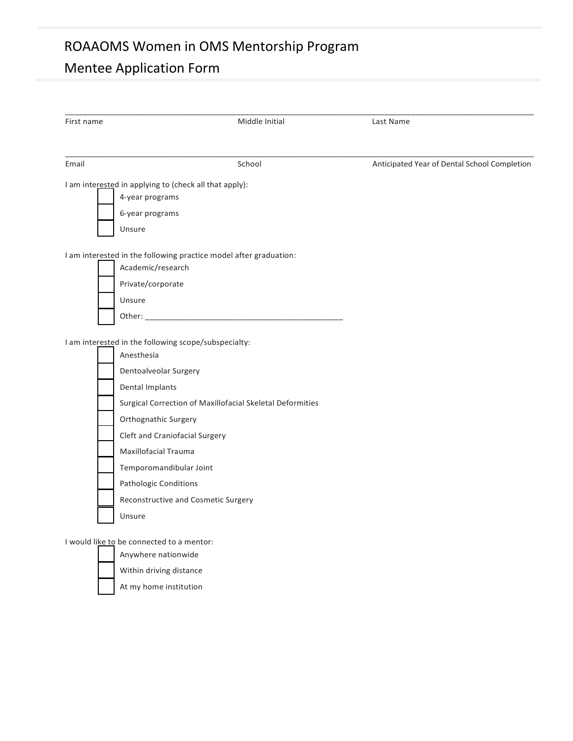## ROAAOMS Women in OMS Mentorship Program

# Mentee Application Form

| First name                                                                                                                                                                                                                                                                                                   | Middle Initial                                            | Last Name                                    |
|--------------------------------------------------------------------------------------------------------------------------------------------------------------------------------------------------------------------------------------------------------------------------------------------------------------|-----------------------------------------------------------|----------------------------------------------|
| Email                                                                                                                                                                                                                                                                                                        | School                                                    | Anticipated Year of Dental School Completion |
| I am interested in applying to (check all that apply):<br>4-year programs<br>6-year programs<br>Unsure                                                                                                                                                                                                       |                                                           |                                              |
| I am interested in the following practice model after graduation:<br>Academic/research<br>Private/corporate<br>Unsure                                                                                                                                                                                        |                                                           |                                              |
| I am interested in the following scope/subspecialty:<br>Anesthesia<br>Dentoalveolar Surgery<br>Dental Implants<br>Orthognathic Surgery<br><b>Cleft and Craniofacial Surgery</b><br>Maxillofacial Trauma<br>Temporomandibular Joint<br>Pathologic Conditions<br>Reconstructive and Cosmetic Surgery<br>Unsure | Surgical Correction of Maxillofacial Skeletal Deformities |                                              |
| I would like to be connected to a mentor:<br>Anywhere nationwide                                                                                                                                                                                                                                             |                                                           |                                              |

- Within driving distance
- At my home institution